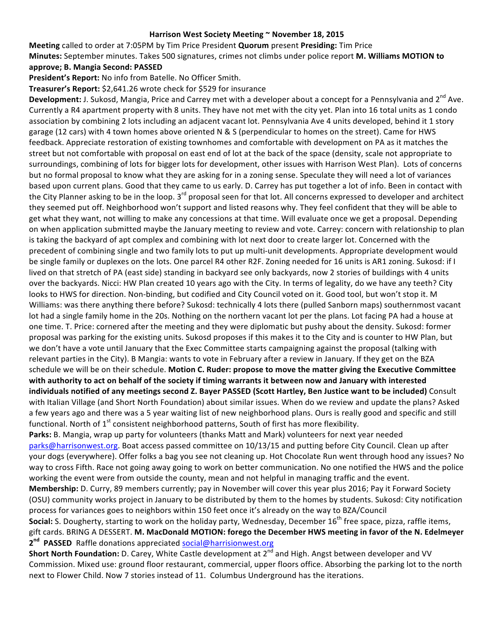## Harrison West Society Meeting ~ November 18, 2015

**Meeting** called to order at 7:05PM by Tim Price President **Quorum** present Presiding: Tim Price **Minutes:** September minutes. Takes 500 signatures, crimes not climbs under police report M. Williams MOTION to **approve; B. Mangia Second: PASSED**

President's Report: No info from Batelle. No Officer Smith.

Treasurer's Report: \$2,641.26 wrote check for \$529 for insurance

**Development:** J. Sukosd, Mangia, Price and Carrey met with a developer about a concept for a Pennsylvania and 2<sup>nd</sup> Ave. Currently a R4 apartment property with 8 units. They have not met with the city yet. Plan into 16 total units as 1 condo association by combining 2 lots including an adjacent vacant lot. Pennsylvania Ave 4 units developed, behind it 1 story garage (12 cars) with 4 town homes above oriented N & S (perpendicular to homes on the street). Came for HWS feedback. Appreciate restoration of existing townhomes and comfortable with development on PA as it matches the street but not comfortable with proposal on east end of lot at the back of the space (density, scale not appropriate to surroundings, combining of lots for bigger lots for development, other issues with Harrison West Plan). Lots of concerns but no formal proposal to know what they are asking for in a zoning sense. Speculate they will need a lot of variances based upon current plans. Good that they came to us early. D. Carrey has put together a lot of info. Been in contact with the City Planner asking to be in the loop.  $3^{rd}$  proposal seen for that lot. All concerns expressed to developer and architect they seemed put off. Neighborhood won't support and listed reasons why. They feel confident that they will be able to get what they want, not willing to make any concessions at that time. Will evaluate once we get a proposal. Depending on when application submitted maybe the January meeting to review and vote. Carrey: concern with relationship to plan is taking the backyard of apt complex and combining with lot next door to create larger lot. Concerned with the precedent of combining single and two family lots to put up multi-unit developments. Appropriate development would be single family or duplexes on the lots. One parcel R4 other R2F. Zoning needed for 16 units is AR1 zoning. Sukosd: if I lived on that stretch of PA (east side) standing in backyard see only backyards, now 2 stories of buildings with 4 units over the backyards. Nicci: HW Plan created 10 years ago with the City. In terms of legality, do we have any teeth? City looks to HWS for direction. Non-binding, but codified and City Council voted on it. Good tool, but won't stop it. M Williams: was there anything there before? Sukosd: technically 4 lots there (pulled Sanborn maps) southernmost vacant lot had a single family home in the 20s. Nothing on the northern vacant lot per the plans. Lot facing PA had a house at one time. T. Price: cornered after the meeting and they were diplomatic but pushy about the density. Sukosd: former proposal was parking for the existing units. Sukosd proposes if this makes it to the City and is counter to HW Plan, but we don't have a vote until January that the Exec Committee starts campaigning against the proposal (talking with relevant parties in the City). B Mangia: wants to vote in February after a review in January. If they get on the BZA schedule we will be on their schedule. Motion C. Ruder: propose to move the matter giving the Executive Committee with authority to act on behalf of the society if timing warrants it between now and January with interested **individuals notified of any meetings second Z. Bayer PASSED (Scott Hartley, Ben Justice want to be included)** Consult with Italian Village (and Short North Foundation) about similar issues. When do we review and update the plans? Asked a few years ago and there was a 5 year waiting list of new neighborhood plans. Ours is really good and specific and still functional. North of  $1^{st}$  consistent neighborhood patterns, South of first has more flexibility. Parks: B. Mangia, wrap up party for volunteers (thanks Matt and Mark) volunteers for next year needed

parks@harrisonwest.org. Boat access passed committee on 10/13/15 and putting before City Council. Clean up after your dogs (everywhere). Offer folks a bag you see not cleaning up. Hot Chocolate Run went through hood any issues? No way to cross Fifth. Race not going away going to work on better communication. No one notified the HWS and the police working the event were from outside the county, mean and not helpful in managing traffic and the event.

**Membership:** D. Curry, 89 members currently; pay in November will cover this year plus 2016; Pay it Forward Society (OSU) community works project in January to be distributed by them to the homes by students. Sukosd: City notification process for variances goes to neighbors within 150 feet once it's already on the way to BZA/Council

**Social:** S. Dougherty, starting to work on the holiday party, Wednesday, December 16<sup>th</sup> free space, pizza, raffle items, gift cards. BRING A DESSERT. M. MacDonald MOTION: forego the December HWS meeting in favor of the N. Edelmeyer 2<sup>nd</sup> PASSED Raffle donations appreciated social@harrisionwest.org

**Short North Foundation:** D. Carey, White Castle development at 2<sup>nd</sup> and High. Angst between developer and VV Commission. Mixed use: ground floor restaurant, commercial, upper floors office. Absorbing the parking lot to the north next to Flower Child. Now 7 stories instead of 11. Columbus Underground has the iterations.